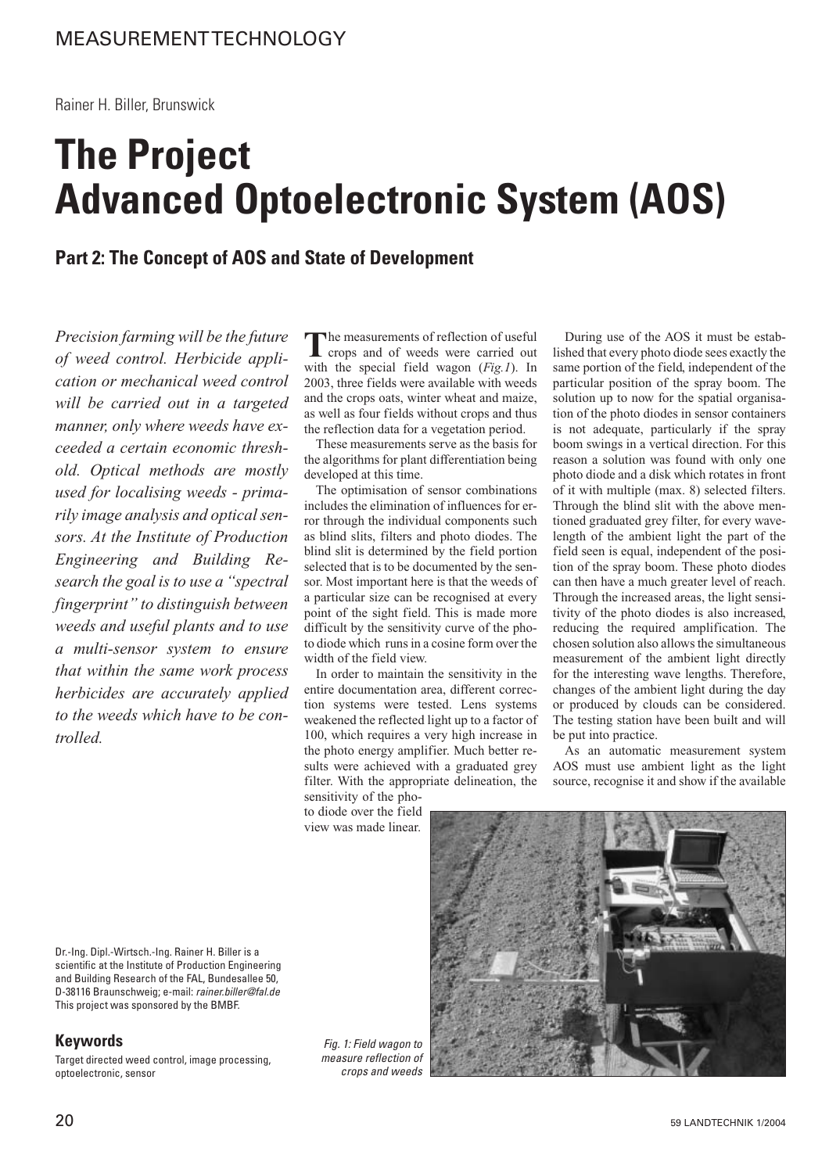Rainer H. Biller, Brunswick

# **The Project Advanced Optoelectronic System (AOS)**

## **Part 2: The Concept of AOS and State of Development**

*Precision farming will be the future of weed control. Herbicide application or mechanical weed control will be carried out in a targeted manner, only where weeds have exceeded a certain economic threshold. Optical methods are mostly used for localising weeds - primarily image analysis and optical sensors. At the Institute of Production Engineering and Building Research the goal is to use a "spectral fingerprint" to distinguish between weeds and useful plants and to use a multi-sensor system to ensure that within the same work process herbicides are accurately applied to the weeds which have to be controlled.*

The measurements of reflection of useful<br>crops and of weeds were carried out with the special field wagon (*Fig.1*). In 2003, three fields were available with weeds and the crops oats, winter wheat and maize, as well as four fields without crops and thus the reflection data for a vegetation period.

These measurements serve as the basis for the algorithms for plant differentiation being developed at this time.

The optimisation of sensor combinations includes the elimination of influences for error through the individual components such as blind slits, filters and photo diodes. The blind slit is determined by the field portion selected that is to be documented by the sensor. Most important here is that the weeds of a particular size can be recognised at every point of the sight field. This is made more difficult by the sensitivity curve of the photo diode which runs in a cosine form over the width of the field view.

In order to maintain the sensitivity in the entire documentation area, different correction systems were tested. Lens systems weakened the reflected light up to a factor of 100, which requires a very high increase in the photo energy amplifier. Much better results were achieved with a graduated grey filter. With the appropriate delineation, the sensitivity of the pho-

to diode over the field view was made linear.

During use of the AOS it must be established that every photo diode sees exactly the same portion of the field, independent of the particular position of the spray boom. The solution up to now for the spatial organisation of the photo diodes in sensor containers is not adequate, particularly if the spray boom swings in a vertical direction. For this reason a solution was found with only one photo diode and a disk which rotates in front of it with multiple (max. 8) selected filters. Through the blind slit with the above mentioned graduated grey filter, for every wavelength of the ambient light the part of the field seen is equal, independent of the position of the spray boom. These photo diodes can then have a much greater level of reach. Through the increased areas, the light sensitivity of the photo diodes is also increased, reducing the required amplification. The chosen solution also allows the simultaneous measurement of the ambient light directly for the interesting wave lengths. Therefore, changes of the ambient light during the day or produced by clouds can be considered. The testing station have been built and will be put into practice.

As an automatic measurement system AOS must use ambient light as the light source, recognise it and show if the available

Dr.-Ing. Dipl.-Wirtsch.-Ing. Rainer H. Biller is a scientific at the Institute of Production Engineering and Building Research of the FAL, Bundesallee 50, D-38116 Braunschweig; e-mail: rainer.biller@fal.de This project was sponsored by the BMBF.

## **Keywords**

Target directed weed control, image processing, optoelectronic, sensor

Fig. 1: Field wagon to measure reflection of crops and weeds